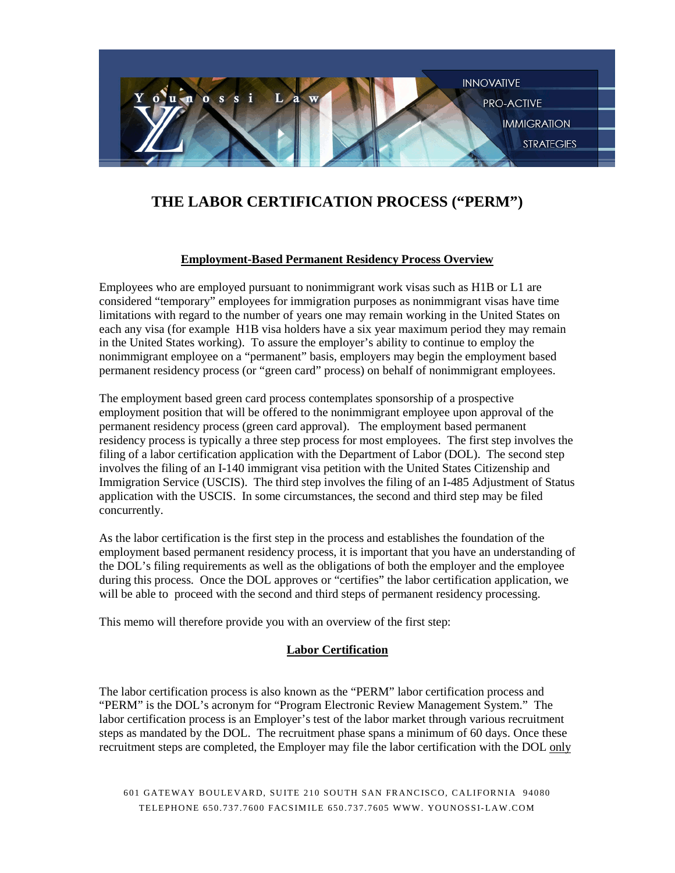

# **THE LABOR CERTIFICATION PROCESS ("PERM")**

## **Employment-Based Permanent Residency Process Overview**

Employees who are employed pursuant to nonimmigrant work visas such as H1B or L1 are considered "temporary" employees for immigration purposes as nonimmigrant visas have time limitations with regard to the number of years one may remain working in the United States on each any visa (for example H1B visa holders have a six year maximum period they may remain in the United States working). To assure the employer's ability to continue to employ the nonimmigrant employee on a "permanent" basis, employers may begin the employment based permanent residency process (or "green card" process) on behalf of nonimmigrant employees.

The employment based green card process contemplates sponsorship of a prospective employment position that will be offered to the nonimmigrant employee upon approval of the permanent residency process (green card approval). The employment based permanent residency process is typically a three step process for most employees. The first step involves the filing of a labor certification application with the Department of Labor (DOL). The second step involves the filing of an I-140 immigrant visa petition with the United States Citizenship and Immigration Service (USCIS). The third step involves the filing of an I-485 Adjustment of Status application with the USCIS. In some circumstances, the second and third step may be filed concurrently.

As the labor certification is the first step in the process and establishes the foundation of the employment based permanent residency process, it is important that you have an understanding of the DOL's filing requirements as well as the obligations of both the employer and the employee during this process. Once the DOL approves or "certifies" the labor certification application, we will be able to proceed with the second and third steps of permanent residency processing.

This memo will therefore provide you with an overview of the first step:

## **Labor Certification**

The labor certification process is also known as the "PERM" labor certification process and "PERM" is the DOL's acronym for "Program Electronic Review Management System." The labor certification process is an Employer's test of the labor market through various recruitment steps as mandated by the DOL. The recruitment phase spans a minimum of 60 days. Once these recruitment steps are completed, the Employer may file the labor certification with the DOL only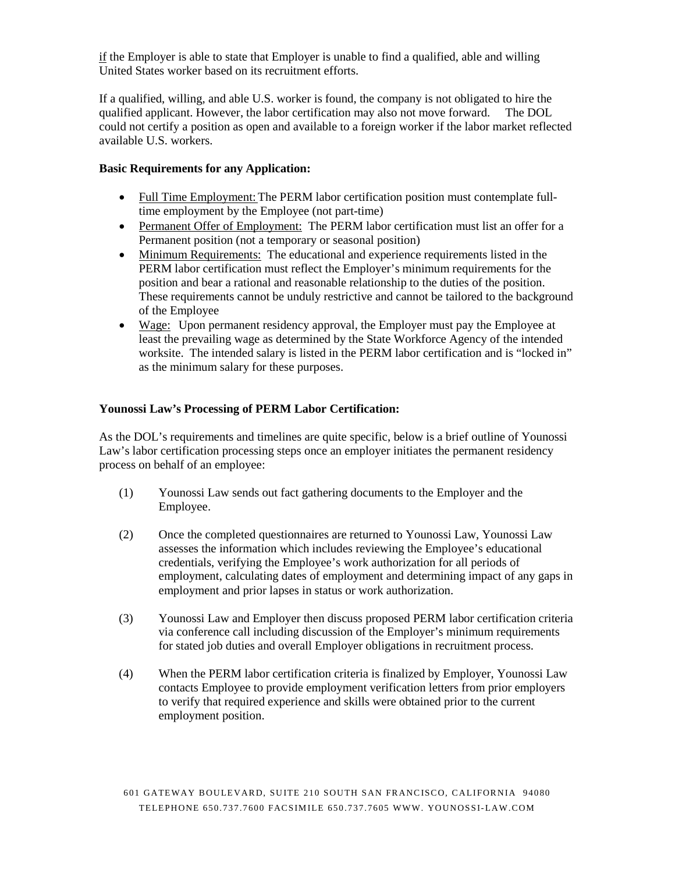if the Employer is able to state that Employer is unable to find a qualified, able and willing United States worker based on its recruitment efforts.

If a qualified, willing, and able U.S. worker is found, the company is not obligated to hire the qualified applicant. However, the labor certification may also not move forward. The DOL could not certify a position as open and available to a foreign worker if the labor market reflected available U.S. workers.

#### **Basic Requirements for any Application:**

- Full Time Employment: The PERM labor certification position must contemplate fulltime employment by the Employee (not part-time)
- Permanent Offer of Employment: The PERM labor certification must list an offer for a Permanent position (not a temporary or seasonal position)
- Minimum Requirements: The educational and experience requirements listed in the PERM labor certification must reflect the Employer's minimum requirements for the position and bear a rational and reasonable relationship to the duties of the position. These requirements cannot be unduly restrictive and cannot be tailored to the background of the Employee
- Wage: Upon permanent residency approval, the Employer must pay the Employee at least the prevailing wage as determined by the State Workforce Agency of the intended worksite. The intended salary is listed in the PERM labor certification and is "locked in" as the minimum salary for these purposes.

## **Younossi Law's Processing of PERM Labor Certification:**

As the DOL's requirements and timelines are quite specific, below is a brief outline of Younossi Law's labor certification processing steps once an employer initiates the permanent residency process on behalf of an employee:

- (1) Younossi Law sends out fact gathering documents to the Employer and the Employee.
- (2) Once the completed questionnaires are returned to Younossi Law, Younossi Law assesses the information which includes reviewing the Employee's educational credentials, verifying the Employee's work authorization for all periods of employment, calculating dates of employment and determining impact of any gaps in employment and prior lapses in status or work authorization.
- (3) Younossi Law and Employer then discuss proposed PERM labor certification criteria via conference call including discussion of the Employer's minimum requirements for stated job duties and overall Employer obligations in recruitment process.
- (4) When the PERM labor certification criteria is finalized by Employer, Younossi Law contacts Employee to provide employment verification letters from prior employers to verify that required experience and skills were obtained prior to the current employment position.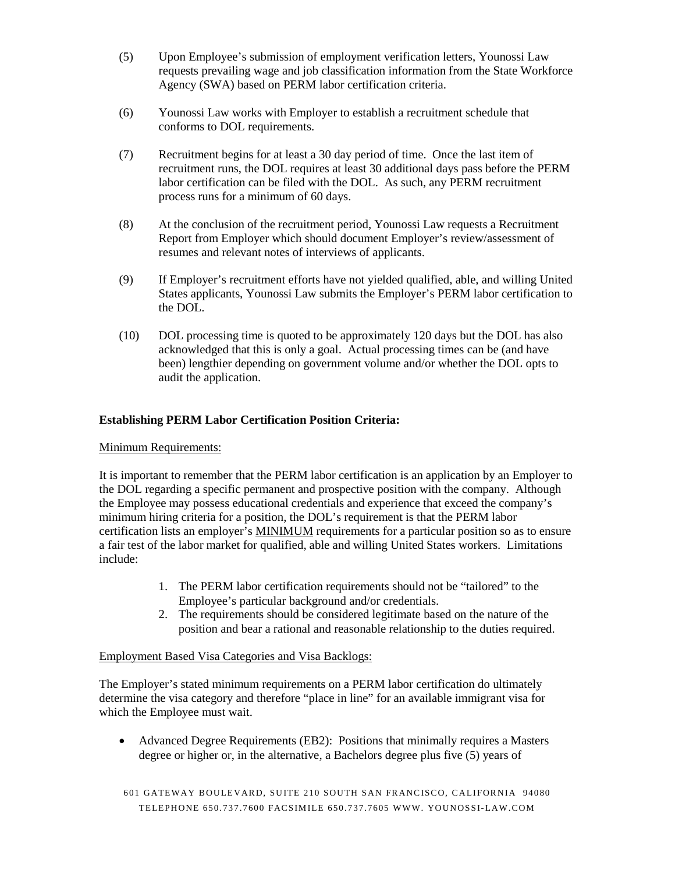- (5) Upon Employee's submission of employment verification letters, Younossi Law requests prevailing wage and job classification information from the State Workforce Agency (SWA) based on PERM labor certification criteria.
- (6) Younossi Law works with Employer to establish a recruitment schedule that conforms to DOL requirements.
- (7) Recruitment begins for at least a 30 day period of time. Once the last item of recruitment runs, the DOL requires at least 30 additional days pass before the PERM labor certification can be filed with the DOL. As such, any PERM recruitment process runs for a minimum of 60 days.
- (8) At the conclusion of the recruitment period, Younossi Law requests a Recruitment Report from Employer which should document Employer's review/assessment of resumes and relevant notes of interviews of applicants.
- (9) If Employer's recruitment efforts have not yielded qualified, able, and willing United States applicants, Younossi Law submits the Employer's PERM labor certification to the DOL.
- (10) DOL processing time is quoted to be approximately 120 days but the DOL has also acknowledged that this is only a goal. Actual processing times can be (and have been) lengthier depending on government volume and/or whether the DOL opts to audit the application.

## **Establishing PERM Labor Certification Position Criteria:**

## Minimum Requirements:

It is important to remember that the PERM labor certification is an application by an Employer to the DOL regarding a specific permanent and prospective position with the company. Although the Employee may possess educational credentials and experience that exceed the company's minimum hiring criteria for a position, the DOL's requirement is that the PERM labor certification lists an employer's MINIMUM requirements for a particular position so as to ensure a fair test of the labor market for qualified, able and willing United States workers. Limitations include:

- 1. The PERM labor certification requirements should not be "tailored" to the Employee's particular background and/or credentials.
- 2. The requirements should be considered legitimate based on the nature of the position and bear a rational and reasonable relationship to the duties required.

## Employment Based Visa Categories and Visa Backlogs:

The Employer's stated minimum requirements on a PERM labor certification do ultimately determine the visa category and therefore "place in line" for an available immigrant visa for which the Employee must wait.

• Advanced Degree Requirements (EB2): Positions that minimally requires a Masters degree or higher or, in the alternative, a Bachelors degree plus five (5) years of

601 GATEWAY BOULEVARD, SUITE 210 SOUTH SAN FRANCISCO, CALIFORNIA 94080 TELEPHONE 650.737.7600 FACSIMILE 650.737 .7605 WWW. YOUNOSSI-LAW.COM